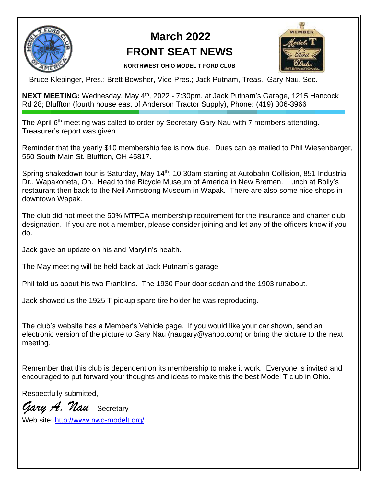

## **March 2022 FRONT SEAT NEWS**



 **NORTHWEST OHIO MODEL T FORD CLUB** 

Bruce Klepinger, Pres.; Brett Bowsher, Vice-Pres.; Jack Putnam, Treas.; Gary Nau, Sec.

**NEXT MEETING:** Wednesday, May 4<sup>th</sup>, 2022 - 7:30pm. at Jack Putnam's Garage, 1215 Hancock Rd 28; Bluffton (fourth house east of Anderson Tractor Supply), Phone: (419) 306-3966

The April 6<sup>th</sup> meeting was called to order by Secretary Gary Nau with 7 members attending. Treasurer's report was given.

Reminder that the yearly \$10 membership fee is now due. Dues can be mailed to Phil Wiesenbarger, 550 South Main St. Bluffton, OH 45817.

Spring shakedown tour is Saturday, May 14<sup>th</sup>, 10:30am starting at Autobahn Collision, 851 Industrial Dr., Wapakoneta, Oh. Head to the Bicycle Museum of America in New Bremen. Lunch at Bolly's restaurant then back to the Neil Armstrong Museum in Wapak. There are also some nice shops in downtown Wapak.

The club did not meet the 50% MTFCA membership requirement for the insurance and charter club designation. If you are not a member, please consider joining and let any of the officers know if you do.

Jack gave an update on his and Marylin's health.

The May meeting will be held back at Jack Putnam's garage

Phil told us about his two Franklins. The 1930 Four door sedan and the 1903 runabout.

Jack showed us the 1925 T pickup spare tire holder he was reproducing.

The club's website has a Member's Vehicle page. If you would like your car shown, send an electronic version of the picture to Gary Nau (naugary@yahoo.com) or bring the picture to the next meeting.

Remember that this club is dependent on its membership to make it work. Everyone is invited and encouraged to put forward your thoughts and ideas to make this the best Model T club in Ohio.

Respectfully submitted,

*Gary A. Nau* – Secretary

Web site:<http://www.nwo-modelt.org/>